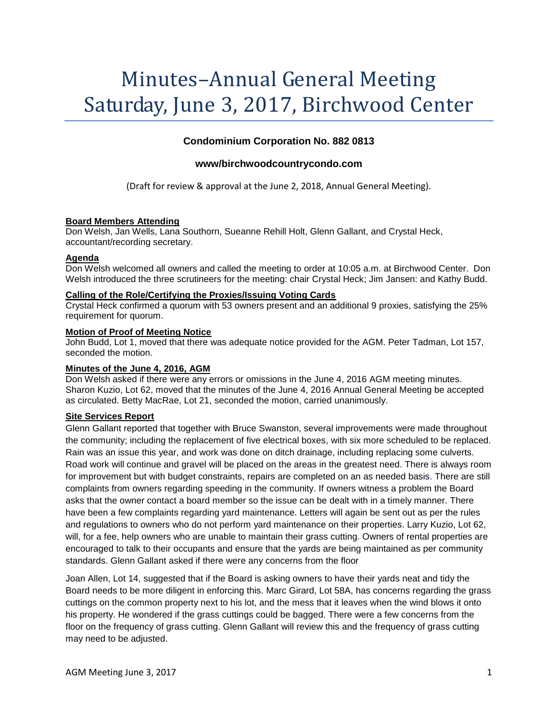# Minutes–Annual General Meeting Saturday, June 3, 2017, Birchwood Center

## **Condominium Corporation No. 882 0813**

## **www/birchwoodcountrycondo.com**

(Draft for review & approval at the June 2, 2018, Annual General Meeting).

## **Board Members Attending**

Don Welsh, Jan Wells, Lana Southorn, Sueanne Rehill Holt, Glenn Gallant, and Crystal Heck, accountant/recording secretary.

## **Agenda**

Don Welsh welcomed all owners and called the meeting to order at 10:05 a.m. at Birchwood Center. Don Welsh introduced the three scrutineers for the meeting: chair Crystal Heck; Jim Jansen: and Kathy Budd.

## **Calling of the Role/Certifying the Proxies/Issuing Voting Cards**

Crystal Heck confirmed a quorum with 53 owners present and an additional 9 proxies, satisfying the 25% requirement for quorum.

## **Motion of Proof of Meeting Notice**

John Budd, Lot 1, moved that there was adequate notice provided for the AGM. Peter Tadman, Lot 157, seconded the motion.

## **Minutes of the June 4, 2016, AGM**

Don Welsh asked if there were any errors or omissions in the June 4, 2016 AGM meeting minutes. Sharon Kuzio, Lot 62, moved that the minutes of the June 4, 2016 Annual General Meeting be accepted as circulated. Betty MacRae, Lot 21, seconded the motion, carried unanimously.

## **Site Services Report**

Glenn Gallant reported that together with Bruce Swanston, several improvements were made throughout the community; including the replacement of five electrical boxes, with six more scheduled to be replaced. Rain was an issue this year, and work was done on ditch drainage, including replacing some culverts. Road work will continue and gravel will be placed on the areas in the greatest need. There is always room for improvement but with budget constraints, repairs are completed on an as needed basis. There are still complaints from owners regarding speeding in the community. If owners witness a problem the Board asks that the owner contact a board member so the issue can be dealt with in a timely manner. There have been a few complaints regarding yard maintenance. Letters will again be sent out as per the rules and regulations to owners who do not perform yard maintenance on their properties. Larry Kuzio, Lot 62, will, for a fee, help owners who are unable to maintain their grass cutting. Owners of rental properties are encouraged to talk to their occupants and ensure that the yards are being maintained as per community standards. Glenn Gallant asked if there were any concerns from the floor

Joan Allen, Lot 14, suggested that if the Board is asking owners to have their yards neat and tidy the Board needs to be more diligent in enforcing this. Marc Girard, Lot 58A, has concerns regarding the grass cuttings on the common property next to his lot, and the mess that it leaves when the wind blows it onto his property. He wondered if the grass cuttings could be bagged. There were a few concerns from the floor on the frequency of grass cutting. Glenn Gallant will review this and the frequency of grass cutting may need to be adjusted.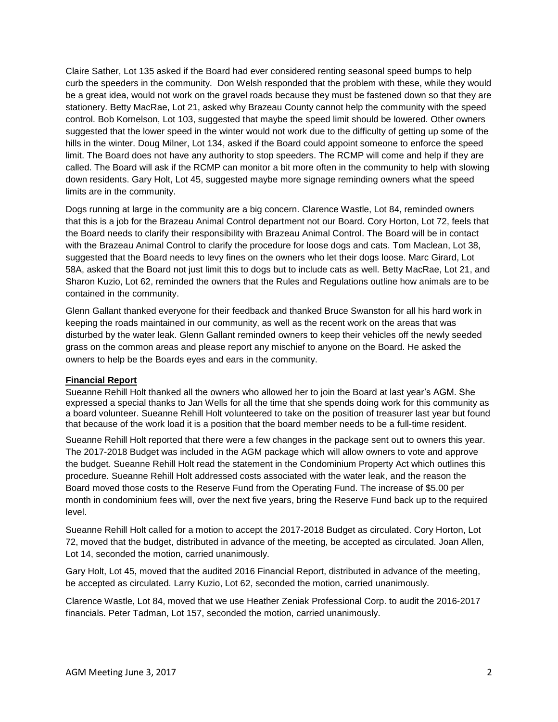Claire Sather, Lot 135 asked if the Board had ever considered renting seasonal speed bumps to help curb the speeders in the community. Don Welsh responded that the problem with these, while they would be a great idea, would not work on the gravel roads because they must be fastened down so that they are stationery. Betty MacRae, Lot 21, asked why Brazeau County cannot help the community with the speed control. Bob Kornelson, Lot 103, suggested that maybe the speed limit should be lowered. Other owners suggested that the lower speed in the winter would not work due to the difficulty of getting up some of the hills in the winter. Doug Milner, Lot 134, asked if the Board could appoint someone to enforce the speed limit. The Board does not have any authority to stop speeders. The RCMP will come and help if they are called. The Board will ask if the RCMP can monitor a bit more often in the community to help with slowing down residents. Gary Holt, Lot 45, suggested maybe more signage reminding owners what the speed limits are in the community.

Dogs running at large in the community are a big concern. Clarence Wastle, Lot 84, reminded owners that this is a job for the Brazeau Animal Control department not our Board. Cory Horton, Lot 72, feels that the Board needs to clarify their responsibility with Brazeau Animal Control. The Board will be in contact with the Brazeau Animal Control to clarify the procedure for loose dogs and cats. Tom Maclean, Lot 38, suggested that the Board needs to levy fines on the owners who let their dogs loose. Marc Girard, Lot 58A, asked that the Board not just limit this to dogs but to include cats as well. Betty MacRae, Lot 21, and Sharon Kuzio, Lot 62, reminded the owners that the Rules and Regulations outline how animals are to be contained in the community.

Glenn Gallant thanked everyone for their feedback and thanked Bruce Swanston for all his hard work in keeping the roads maintained in our community, as well as the recent work on the areas that was disturbed by the water leak. Glenn Gallant reminded owners to keep their vehicles off the newly seeded grass on the common areas and please report any mischief to anyone on the Board. He asked the owners to help be the Boards eyes and ears in the community.

## **Financial Report**

Sueanne Rehill Holt thanked all the owners who allowed her to join the Board at last year's AGM. She expressed a special thanks to Jan Wells for all the time that she spends doing work for this community as a board volunteer. Sueanne Rehill Holt volunteered to take on the position of treasurer last year but found that because of the work load it is a position that the board member needs to be a full-time resident.

Sueanne Rehill Holt reported that there were a few changes in the package sent out to owners this year. The 2017-2018 Budget was included in the AGM package which will allow owners to vote and approve the budget. Sueanne Rehill Holt read the statement in the Condominium Property Act which outlines this procedure. Sueanne Rehill Holt addressed costs associated with the water leak, and the reason the Board moved those costs to the Reserve Fund from the Operating Fund. The increase of \$5.00 per month in condominium fees will, over the next five years, bring the Reserve Fund back up to the required level.

Sueanne Rehill Holt called for a motion to accept the 2017-2018 Budget as circulated. Cory Horton, Lot 72, moved that the budget, distributed in advance of the meeting, be accepted as circulated. Joan Allen, Lot 14, seconded the motion, carried unanimously.

Gary Holt, Lot 45, moved that the audited 2016 Financial Report, distributed in advance of the meeting, be accepted as circulated. Larry Kuzio, Lot 62, seconded the motion, carried unanimously.

Clarence Wastle, Lot 84, moved that we use Heather Zeniak Professional Corp. to audit the 2016-2017 financials. Peter Tadman, Lot 157, seconded the motion, carried unanimously.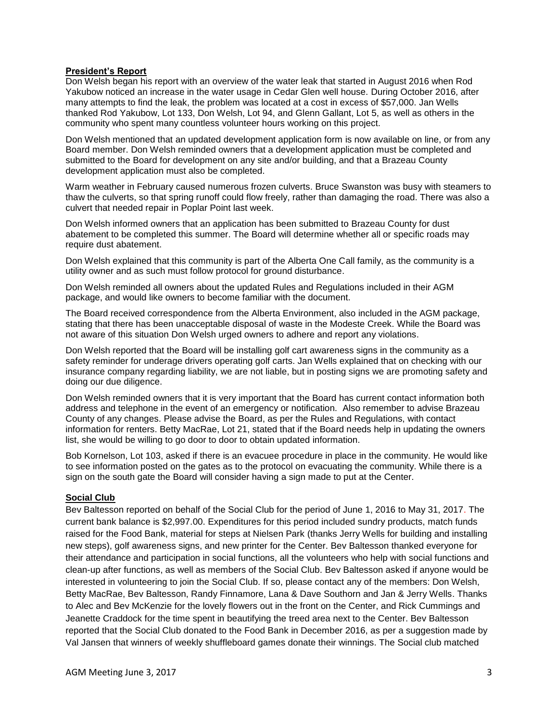## **President's Report**

Don Welsh began his report with an overview of the water leak that started in August 2016 when Rod Yakubow noticed an increase in the water usage in Cedar Glen well house. During October 2016, after many attempts to find the leak, the problem was located at a cost in excess of \$57,000. Jan Wells thanked Rod Yakubow, Lot 133, Don Welsh, Lot 94, and Glenn Gallant, Lot 5, as well as others in the community who spent many countless volunteer hours working on this project.

Don Welsh mentioned that an updated development application form is now available on line, or from any Board member. Don Welsh reminded owners that a development application must be completed and submitted to the Board for development on any site and/or building, and that a Brazeau County development application must also be completed.

Warm weather in February caused numerous frozen culverts. Bruce Swanston was busy with steamers to thaw the culverts, so that spring runoff could flow freely, rather than damaging the road. There was also a culvert that needed repair in Poplar Point last week.

Don Welsh informed owners that an application has been submitted to Brazeau County for dust abatement to be completed this summer. The Board will determine whether all or specific roads may require dust abatement.

Don Welsh explained that this community is part of the Alberta One Call family, as the community is a utility owner and as such must follow protocol for ground disturbance.

Don Welsh reminded all owners about the updated Rules and Regulations included in their AGM package, and would like owners to become familiar with the document.

The Board received correspondence from the Alberta Environment, also included in the AGM package, stating that there has been unacceptable disposal of waste in the Modeste Creek. While the Board was not aware of this situation Don Welsh urged owners to adhere and report any violations.

Don Welsh reported that the Board will be installing golf cart awareness signs in the community as a safety reminder for underage drivers operating golf carts. Jan Wells explained that on checking with our insurance company regarding liability, we are not liable, but in posting signs we are promoting safety and doing our due diligence.

Don Welsh reminded owners that it is very important that the Board has current contact information both address and telephone in the event of an emergency or notification. Also remember to advise Brazeau County of any changes. Please advise the Board, as per the Rules and Regulations, with contact information for renters. Betty MacRae, Lot 21, stated that if the Board needs help in updating the owners list, she would be willing to go door to door to obtain updated information.

Bob Kornelson, Lot 103, asked if there is an evacuee procedure in place in the community. He would like to see information posted on the gates as to the protocol on evacuating the community. While there is a sign on the south gate the Board will consider having a sign made to put at the Center.

## **Social Club**

Bev Baltesson reported on behalf of the Social Club for the period of June 1, 2016 to May 31, 2017. The current bank balance is \$2,997.00. Expenditures for this period included sundry products, match funds raised for the Food Bank, material for steps at Nielsen Park (thanks Jerry Wells for building and installing new steps), golf awareness signs, and new printer for the Center. Bev Baltesson thanked everyone for their attendance and participation in social functions, all the volunteers who help with social functions and clean-up after functions, as well as members of the Social Club. Bev Baltesson asked if anyone would be interested in volunteering to join the Social Club. If so, please contact any of the members: Don Welsh, Betty MacRae, Bev Baltesson, Randy Finnamore, Lana & Dave Southorn and Jan & Jerry Wells. Thanks to Alec and Bev McKenzie for the lovely flowers out in the front on the Center, and Rick Cummings and Jeanette Craddock for the time spent in beautifying the treed area next to the Center. Bev Baltesson reported that the Social Club donated to the Food Bank in December 2016, as per a suggestion made by Val Jansen that winners of weekly shuffleboard games donate their winnings. The Social club matched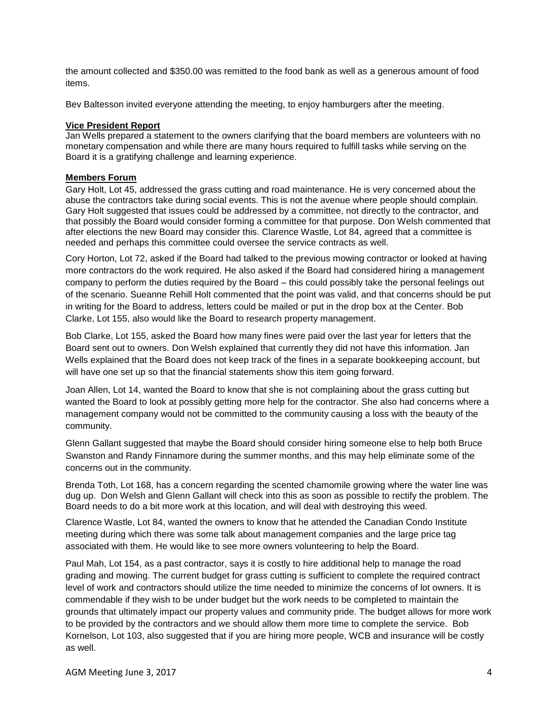the amount collected and \$350.00 was remitted to the food bank as well as a generous amount of food items.

Bev Baltesson invited everyone attending the meeting, to enjoy hamburgers after the meeting.

#### **Vice President Report**

Jan Wells prepared a statement to the owners clarifying that the board members are volunteers with no monetary compensation and while there are many hours required to fulfill tasks while serving on the Board it is a gratifying challenge and learning experience.

## **Members Forum**

Gary Holt, Lot 45, addressed the grass cutting and road maintenance. He is very concerned about the abuse the contractors take during social events. This is not the avenue where people should complain. Gary Holt suggested that issues could be addressed by a committee, not directly to the contractor, and that possibly the Board would consider forming a committee for that purpose. Don Welsh commented that after elections the new Board may consider this. Clarence Wastle, Lot 84, agreed that a committee is needed and perhaps this committee could oversee the service contracts as well.

Cory Horton, Lot 72, asked if the Board had talked to the previous mowing contractor or looked at having more contractors do the work required. He also asked if the Board had considered hiring a management company to perform the duties required by the Board – this could possibly take the personal feelings out of the scenario. Sueanne Rehill Holt commented that the point was valid, and that concerns should be put in writing for the Board to address, letters could be mailed or put in the drop box at the Center. Bob Clarke, Lot 155, also would like the Board to research property management.

Bob Clarke, Lot 155, asked the Board how many fines were paid over the last year for letters that the Board sent out to owners. Don Welsh explained that currently they did not have this information. Jan Wells explained that the Board does not keep track of the fines in a separate bookkeeping account, but will have one set up so that the financial statements show this item going forward.

Joan Allen, Lot 14, wanted the Board to know that she is not complaining about the grass cutting but wanted the Board to look at possibly getting more help for the contractor. She also had concerns where a management company would not be committed to the community causing a loss with the beauty of the community.

Glenn Gallant suggested that maybe the Board should consider hiring someone else to help both Bruce Swanston and Randy Finnamore during the summer months, and this may help eliminate some of the concerns out in the community.

Brenda Toth, Lot 168, has a concern regarding the scented chamomile growing where the water line was dug up. Don Welsh and Glenn Gallant will check into this as soon as possible to rectify the problem. The Board needs to do a bit more work at this location, and will deal with destroying this weed.

Clarence Wastle, Lot 84, wanted the owners to know that he attended the Canadian Condo Institute meeting during which there was some talk about management companies and the large price tag associated with them. He would like to see more owners volunteering to help the Board.

Paul Mah, Lot 154, as a past contractor, says it is costly to hire additional help to manage the road grading and mowing. The current budget for grass cutting is sufficient to complete the required contract level of work and contractors should utilize the time needed to minimize the concerns of lot owners. It is commendable if they wish to be under budget but the work needs to be completed to maintain the grounds that ultimately impact our property values and community pride. The budget allows for more work to be provided by the contractors and we should allow them more time to complete the service. Bob Kornelson, Lot 103, also suggested that if you are hiring more people, WCB and insurance will be costly as well.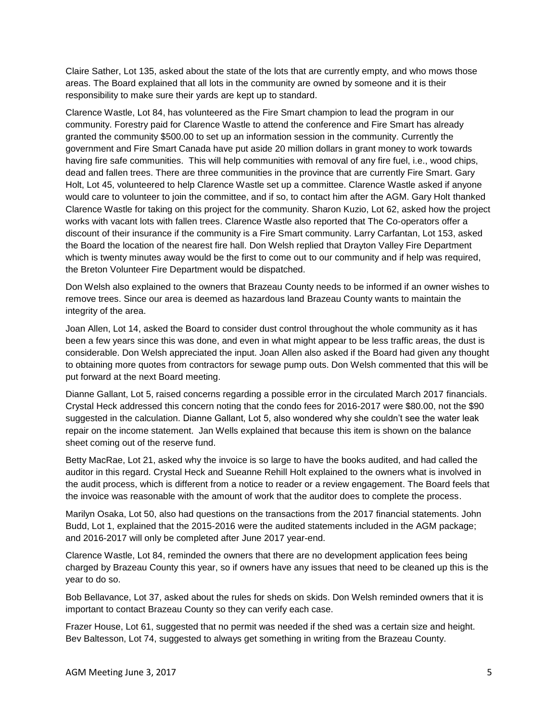Claire Sather, Lot 135, asked about the state of the lots that are currently empty, and who mows those areas. The Board explained that all lots in the community are owned by someone and it is their responsibility to make sure their yards are kept up to standard.

Clarence Wastle, Lot 84, has volunteered as the Fire Smart champion to lead the program in our community. Forestry paid for Clarence Wastle to attend the conference and Fire Smart has already granted the community \$500.00 to set up an information session in the community. Currently the government and Fire Smart Canada have put aside 20 million dollars in grant money to work towards having fire safe communities. This will help communities with removal of any fire fuel, i.e., wood chips, dead and fallen trees. There are three communities in the province that are currently Fire Smart. Gary Holt, Lot 45, volunteered to help Clarence Wastle set up a committee. Clarence Wastle asked if anyone would care to volunteer to join the committee, and if so, to contact him after the AGM. Gary Holt thanked Clarence Wastle for taking on this project for the community. Sharon Kuzio, Lot 62, asked how the project works with vacant lots with fallen trees. Clarence Wastle also reported that The Co-operators offer a discount of their insurance if the community is a Fire Smart community. Larry Carfantan, Lot 153, asked the Board the location of the nearest fire hall. Don Welsh replied that Drayton Valley Fire Department which is twenty minutes away would be the first to come out to our community and if help was required, the Breton Volunteer Fire Department would be dispatched.

Don Welsh also explained to the owners that Brazeau County needs to be informed if an owner wishes to remove trees. Since our area is deemed as hazardous land Brazeau County wants to maintain the integrity of the area.

Joan Allen, Lot 14, asked the Board to consider dust control throughout the whole community as it has been a few years since this was done, and even in what might appear to be less traffic areas, the dust is considerable. Don Welsh appreciated the input. Joan Allen also asked if the Board had given any thought to obtaining more quotes from contractors for sewage pump outs. Don Welsh commented that this will be put forward at the next Board meeting.

Dianne Gallant, Lot 5, raised concerns regarding a possible error in the circulated March 2017 financials. Crystal Heck addressed this concern noting that the condo fees for 2016-2017 were \$80.00, not the \$90 suggested in the calculation. Dianne Gallant, Lot 5, also wondered why she couldn't see the water leak repair on the income statement. Jan Wells explained that because this item is shown on the balance sheet coming out of the reserve fund.

Betty MacRae, Lot 21, asked why the invoice is so large to have the books audited, and had called the auditor in this regard. Crystal Heck and Sueanne Rehill Holt explained to the owners what is involved in the audit process, which is different from a notice to reader or a review engagement. The Board feels that the invoice was reasonable with the amount of work that the auditor does to complete the process.

Marilyn Osaka, Lot 50, also had questions on the transactions from the 2017 financial statements. John Budd, Lot 1, explained that the 2015-2016 were the audited statements included in the AGM package; and 2016-2017 will only be completed after June 2017 year-end.

Clarence Wastle, Lot 84, reminded the owners that there are no development application fees being charged by Brazeau County this year, so if owners have any issues that need to be cleaned up this is the year to do so.

Bob Bellavance, Lot 37, asked about the rules for sheds on skids. Don Welsh reminded owners that it is important to contact Brazeau County so they can verify each case.

Frazer House, Lot 61, suggested that no permit was needed if the shed was a certain size and height. Bev Baltesson, Lot 74, suggested to always get something in writing from the Brazeau County.